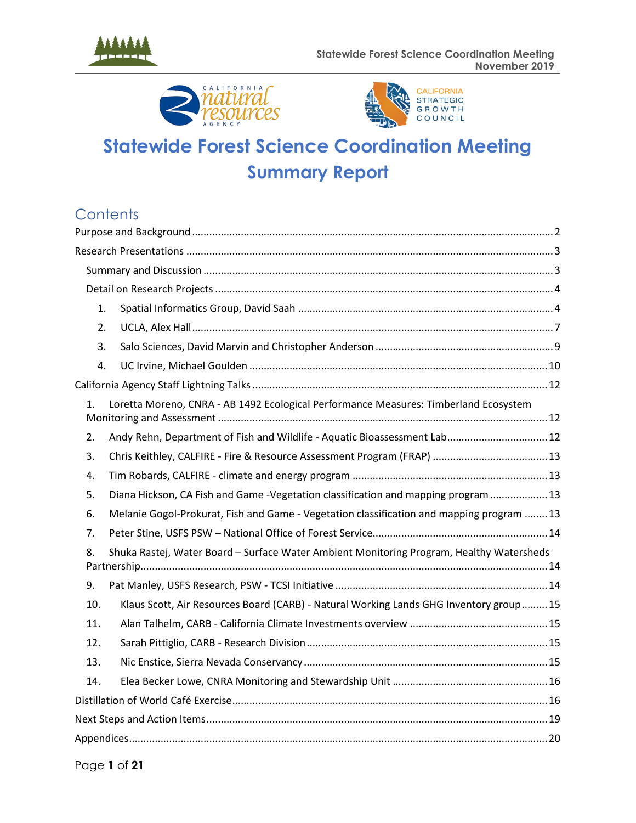





# **Statewide Forest Science Coordination Meeting Summary Report**

## **Contents**

| 1.  |                                                                                           |
|-----|-------------------------------------------------------------------------------------------|
| 2.  |                                                                                           |
| 3.  |                                                                                           |
| 4.  |                                                                                           |
|     |                                                                                           |
| 1.  | Loretta Moreno, CNRA - AB 1492 Ecological Performance Measures: Timberland Ecosystem      |
| 2.  | Andy Rehn, Department of Fish and Wildlife - Aquatic Bioassessment Lab 12                 |
| 3.  |                                                                                           |
| 4.  |                                                                                           |
| 5.  | Diana Hickson, CA Fish and Game -Vegetation classification and mapping program  13        |
| 6.  | Melanie Gogol-Prokurat, Fish and Game - Vegetation classification and mapping program  13 |
| 7.  |                                                                                           |
| 8.  | Shuka Rastej, Water Board - Surface Water Ambient Monitoring Program, Healthy Watersheds  |
| 9.  |                                                                                           |
| 10. | Klaus Scott, Air Resources Board (CARB) - Natural Working Lands GHG Inventory group 15    |
| 11. |                                                                                           |
| 12. |                                                                                           |
| 13. |                                                                                           |
| 14. |                                                                                           |
|     |                                                                                           |
|     |                                                                                           |
|     |                                                                                           |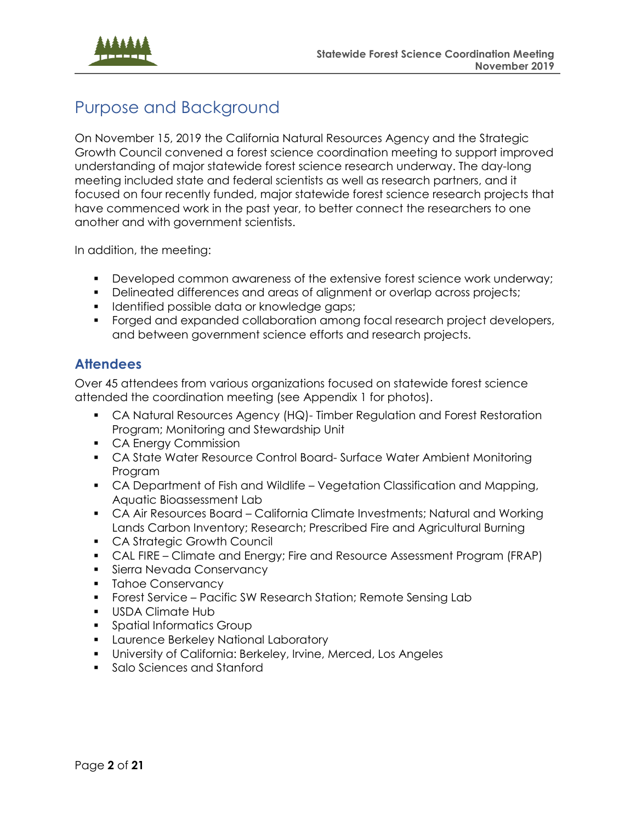

<span id="page-1-1"></span>

## <span id="page-1-0"></span>Purpose and Background

On November 15, 2019 the California Natural Resources Agency and the Strategic Growth Council convened a forest science coordination meeting to support improved understanding of major statewide forest science research underway. The day-long meeting included state and federal scientists as well as research partners, and it focused on four recently funded, major statewide forest science research projects that have commenced work in the past year, to better connect the researchers to one another and with government scientists.

In addition, the meeting:

- Developed common awareness of the extensive forest science work underway;
- Delineated differences and areas of alignment or overlap across projects;
- **.** Identified possible data or knowledge gaps;
- Forged and expanded collaboration among focal research project developers, and between government science efforts and research projects.

### **Attendees**

Over 45 attendees from various organizations focused on statewide forest science attended the coordination meeting (see Appendix 1 for photos).

- CA Natural Resources Agency (HQ)- Timber Regulation and Forest Restoration Program; Monitoring and Stewardship Unit
- CA Energy Commission
- CA State Water Resource Control Board- Surface Water Ambient Monitoring Program
- CA Department of Fish and Wildlife Vegetation Classification and Mapping, Aquatic Bioassessment Lab
- CA Air Resources Board California Climate Investments; Natural and Working Lands Carbon Inventory; Research; Prescribed Fire and Agricultural Burning
- CA Strategic Growth Council
- CAL FIRE Climate and Energy; Fire and Resource Assessment Program (FRAP)
- **Sierra Nevada Conservancy**
- **•** Tahoe Conservancy
- **•** Forest Service Pacific SW Research Station; Remote Sensing Lab
- USDA Climate Hub
- Spatial Informatics Group
- **EXEDENCE Berkeley National Laboratory**
- University of California: Berkeley, Irvine, Merced, Los Angeles
- Salo Sciences and Stanford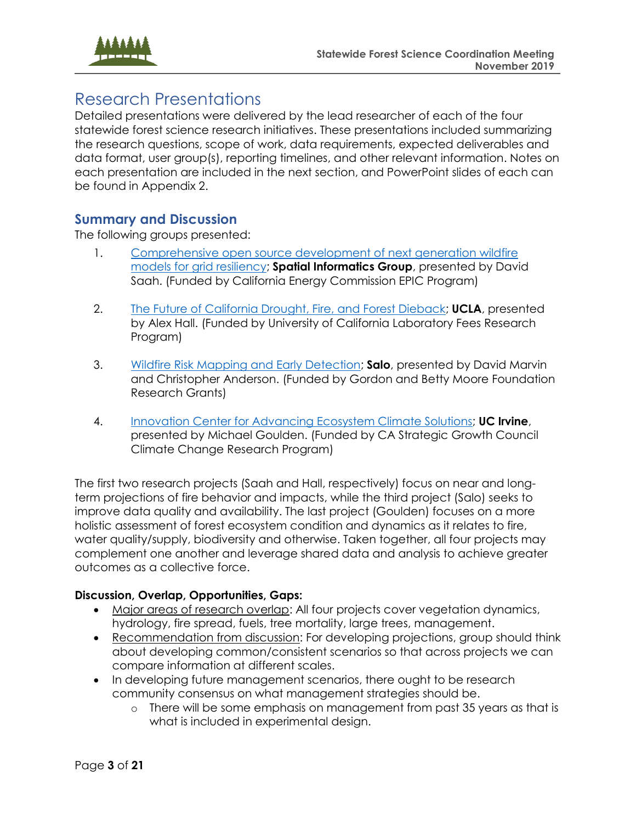

## Research Presentations

Detailed presentations were delivered by the lead researcher of each of the four statewide forest science research initiatives. These presentations included summarizing the research questions, scope of work, data requirements, expected deliverables and data format, user group(s), reporting timelines, and other relevant information. Notes on each presentation are included in the next section, and PowerPoint slides of each can be found in Appendix 2.

#### <span id="page-2-0"></span>**Summary and Discussion**

The following groups presented:

- 1. Comprehensive open source development of next generation wildfire [models for grid resiliency;](https://ww2.energy.ca.gov/business_meetings/2019_packets/2019-06-12/Item_14_EPC-18-026%20Spatial%20Informatics%20Group,%20LLC.pdf) **Spatial Informatics Group**, presented by David Saah. (Funded by California Energy Commission EPIC Program)
- 2. [The Future of California Drought, Fire, and Forest Dieback;](https://www.ioes.ucla.edu/project/future-california-drought-fire-forest-dieback/) **UCLA**, presented by Alex Hall. (Funded by University of California Laboratory Fees Research Program)
- 3. [Wildfire Risk Mapping and Early Detection;](https://www.moore.org/grants?filterKeywords=Wildfire%20Risk%20Mapping%20and%20Early%20Detection&searchFunction=StartsWith&searchFields=Title#filterSortBarPageJumper) **Salo**, presented by David Marvin and Christopher Anderson. (Funded by Gordon and Betty Moore Foundation Research Grants)
- 4. [Innovation Center for Advancing Ecosystem Climate Solutions;](https://ps.uci.edu/news/49960) **UC Irvine**, presented by Michael Goulden. (Funded by CA Strategic Growth Council Climate Change Research Program)

The first two research projects (Saah and Hall, respectively) focus on near and longterm projections of fire behavior and impacts, while the third project (Salo) seeks to improve data quality and availability. The last project (Goulden) focuses on a more holistic assessment of forest ecosystem condition and dynamics as it relates to fire, water quality/supply, biodiversity and otherwise. Taken together, all four projects may complement one another and leverage shared data and analysis to achieve greater outcomes as a collective force.

#### **Discussion, Overlap, Opportunities, Gaps:**

- Major areas of research overlap: All four projects cover vegetation dynamics, hydrology, fire spread, fuels, tree mortality, large trees, management.
- Recommendation from discussion: For developing projections, group should think about developing common/consistent scenarios so that across projects we can compare information at different scales.
- In developing future management scenarios, there ought to be research community consensus on what management strategies should be.
	- o There will be some emphasis on management from past 35 years as that is what is included in experimental design.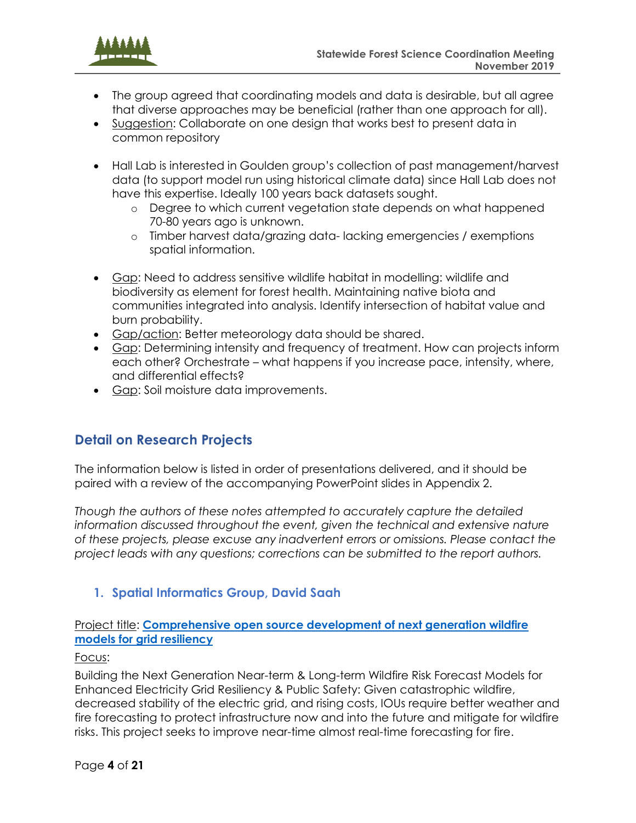

- The group agreed that coordinating models and data is desirable, but all agree that diverse approaches may be beneficial (rather than one approach for all).
- Suggestion: Collaborate on one design that works best to present data in common repository
- Hall Lab is interested in Goulden group's collection of past management/harvest data (to support model run using historical climate data) since Hall Lab does not have this expertise. Ideally 100 years back datasets sought.
	- o Degree to which current vegetation state depends on what happened 70-80 years ago is unknown.
	- o Timber harvest data/grazing data- lacking emergencies / exemptions spatial information.
- Gap: Need to address sensitive wildlife habitat in modelling: wildlife and biodiversity as element for forest health. Maintaining native biota and communities integrated into analysis. Identify intersection of habitat value and burn probability.
- Gap/action: Better meteorology data should be shared.
- Gap: Determining intensity and frequency of treatment. How can projects inform each other? Orchestrate – what happens if you increase pace, intensity, where, and differential effects?
- Gap: Soil moisture data improvements.

## <span id="page-3-0"></span>**Detail on Research Projects**

The information below is listed in order of presentations delivered, and it should be paired with a review of the accompanying PowerPoint slides in Appendix 2.

*Though the authors of these notes attempted to accurately capture the detailed*  information discussed throughout the event, given the technical and extensive nature *of these projects, please excuse any inadvertent errors or omissions. Please contact the project leads with any questions; corrections can be submitted to the report authors.* 

## <span id="page-3-1"></span>**1. Spatial Informatics Group, David Saah**

#### Project title: **[Comprehensive open source development of next generation wildfire](https://ww2.energy.ca.gov/business_meetings/2019_packets/2019-06-12/Item_14_EPC-18-026%20Spatial%20Informatics%20Group,%20LLC.pdf)  [models for grid resiliency](https://ww2.energy.ca.gov/business_meetings/2019_packets/2019-06-12/Item_14_EPC-18-026%20Spatial%20Informatics%20Group,%20LLC.pdf)**

#### Focus:

Building the Next Generation Near-term & Long-term Wildfire Risk Forecast Models for Enhanced Electricity Grid Resiliency & Public Safety: Given catastrophic wildfire, decreased stability of the electric grid, and rising costs, IOUs require better weather and fire forecasting to protect infrastructure now and into the future and mitigate for wildfire risks. This project seeks to improve near-time almost real-time forecasting for fire.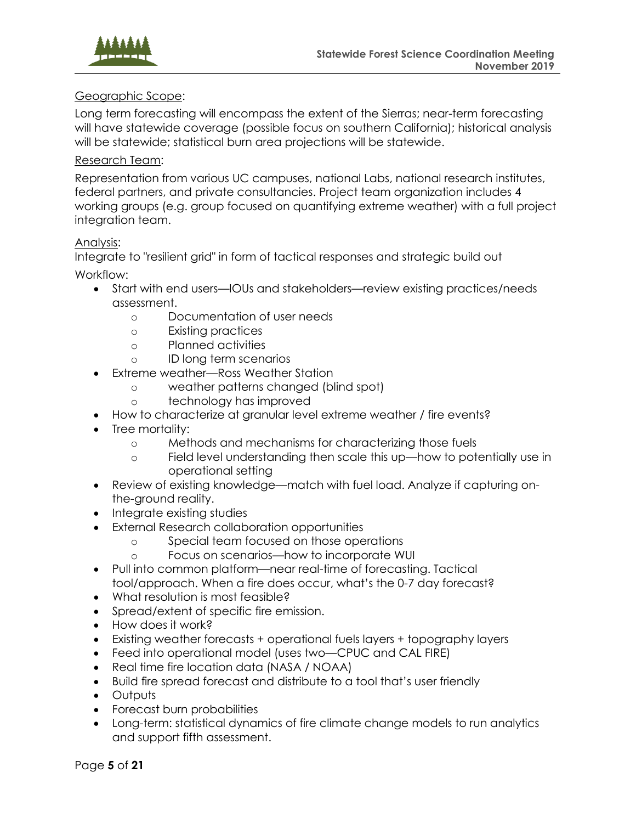

#### Geographic Scope:

Long term forecasting will encompass the extent of the Sierras; near-term forecasting will have statewide coverage (possible focus on southern California); historical analysis will be statewide; statistical burn area projections will be statewide.

#### Research Team:

Representation from various UC campuses, national Labs, national research institutes, federal partners, and private consultancies. Project team organization includes 4 working groups (e.g. group focused on quantifying extreme weather) with a full project integration team.

#### Analysis:

Integrate to "resilient grid" in form of tactical responses and strategic build out Workflow:

- Start with end users—IOUs and stakeholders—review existing practices/needs assessment.
	- o Documentation of user needs
	- o Existing practices
	- o Planned activities
	- o ID long term scenarios
- Extreme weather—Ross Weather Station
	- o weather patterns changed (blind spot)
	- o technology has improved
- How to characterize at granular level extreme weather / fire events?
- Tree mortality:
	- o Methods and mechanisms for characterizing those fuels
	- o Field level understanding then scale this up—how to potentially use in operational setting
- Review of existing knowledge—match with fuel load. Analyze if capturing onthe-ground reality.
- Integrate existing studies
- External Research collaboration opportunities
	- o Special team focused on those operations
	- o Focus on scenarios—how to incorporate WUI
- Pull into common platform—near real-time of forecasting. Tactical tool/approach. When a fire does occur, what's the 0-7 day forecast?
- What resolution is most feasible?
- Spread/extent of specific fire emission.
- How does it work?
- Existing weather forecasts + operational fuels layers + topography layers
- Feed into operational model (uses two—CPUC and CAL FIRE)
- Real time fire location data (NASA / NOAA)
- Build fire spread forecast and distribute to a tool that's user friendly
- Outputs
- Forecast burn probabilities
- Long-term: statistical dynamics of fire climate change models to run analytics and support fifth assessment.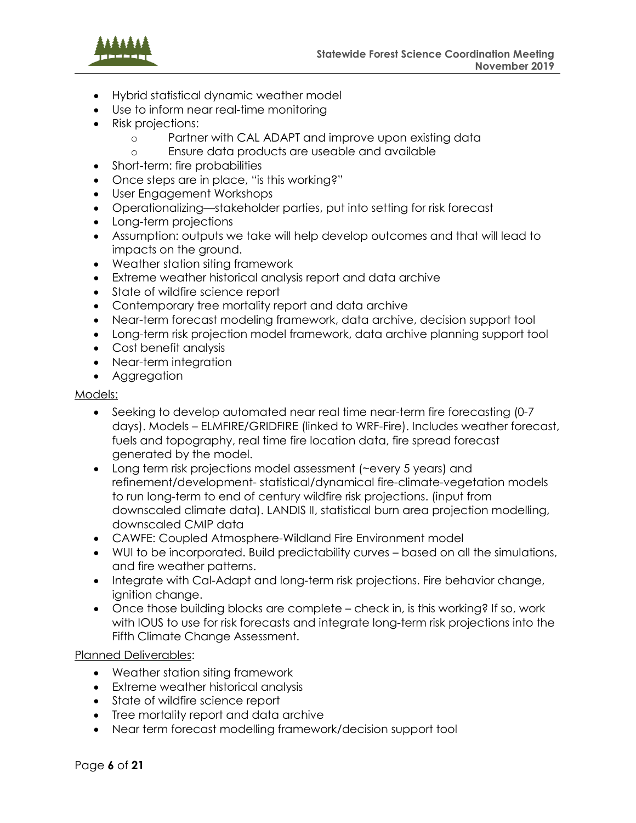

- Hybrid statistical dynamic weather model
- Use to inform near real-time monitoring
- Risk projections:
	- o Partner with CAL ADAPT and improve upon existing data
	- o Ensure data products are useable and available
- Short-term: fire probabilities
- Once steps are in place, "is this working?"
- User Engagement Workshops
- Operationalizing—stakeholder parties, put into setting for risk forecast
- Long-term projections
- Assumption: outputs we take will help develop outcomes and that will lead to impacts on the ground.
- Weather station siting framework
- Extreme weather historical analysis report and data archive
- State of wildfire science report
- Contemporary tree mortality report and data archive
- Near-term forecast modeling framework, data archive, decision support tool
- Long-term risk projection model framework, data archive planning support tool
- Cost benefit analysis
- Near-term integration
- Aggregation

#### Models:

- Seeking to develop automated near real time near-term fire forecasting (0-7) days). Models – ELMFIRE/GRIDFIRE (linked to WRF-Fire). Includes weather forecast, fuels and topography, real time fire location data, fire spread forecast generated by the model.
- Long term risk projections model assessment (~every 5 years) and refinement/development- statistical/dynamical fire-climate-vegetation models to run long-term to end of century wildfire risk projections. (input from downscaled climate data). LANDIS II, statistical burn area projection modelling, downscaled CMIP data
- CAWFE: Coupled Atmosphere-Wildland Fire Environment model
- WUI to be incorporated. Build predictability curves based on all the simulations, and fire weather patterns.
- Integrate with Cal-Adapt and long-term risk projections. Fire behavior change, ignition change.
- Once those building blocks are complete check in, is this working? If so, work with IOUS to use for risk forecasts and integrate long-term risk projections into the Fifth Climate Change Assessment.

#### Planned Deliverables:

- Weather station siting framework
- Extreme weather historical analysis
- State of wildfire science report
- Tree mortality report and data archive
- Near term forecast modelling framework/decision support tool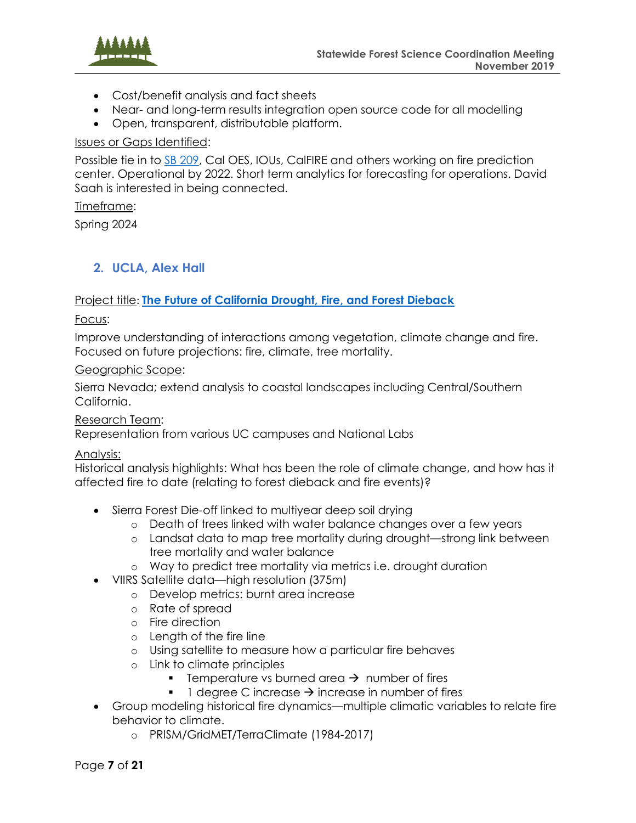

- Cost/benefit analysis and fact sheets
- Near- and long-term results integration open source code for all modelling
- Open, transparent, distributable platform.

#### Issues or Gaps Identified:

Possible tie in to SB [209,](https://leginfo.legislature.ca.gov/faces/billNavClient.xhtml?bill_id=201920200SB209) Cal OES, IOUs, CalFIRE and others working on fire prediction center. Operational by 2022. Short term analytics for forecasting for operations. David Saah is interested in being connected.

#### Timeframe:

Spring 2024

#### <span id="page-6-0"></span>**2. UCLA, Alex Hall**

#### Project title: **[The Future of California Drought, Fire, and Forest Dieback](https://www.ioes.ucla.edu/project/future-california-drought-fire-forest-dieback/)**

Focus:

Improve understanding of interactions among vegetation, climate change and fire. Focused on future projections: fire, climate, tree mortality.

#### Geographic Scope:

Sierra Nevada; extend analysis to coastal landscapes including Central/Southern California.

#### Research Team:

Representation from various UC campuses and National Labs

#### Analysis:

Historical analysis highlights: What has been the role of climate change, and how has it affected fire to date (relating to forest dieback and fire events)?

- Sierra Forest Die-off linked to multiyear deep soil drying
	- o Death of trees linked with water balance changes over a few years
	- o Landsat data to map tree mortality during drought—strong link between tree mortality and water balance
	- o Way to predict tree mortality via metrics i.e. drought duration
	- VIIRS Satellite data—high resolution (375m)
		- o Develop metrics: burnt area increase
			- o Rate of spread
			- o Fire direction
			- o Length of the fire line
			- o Using satellite to measure how a particular fire behaves
			- o Link to climate principles
				- Temperature vs burned area  $\rightarrow$  number of fires
				- 1 degree C increase  $\rightarrow$  increase in number of fires
- Group modeling historical fire dynamics—multiple climatic variables to relate fire behavior to climate.
	- o PRISM/GridMET/TerraClimate (1984-2017)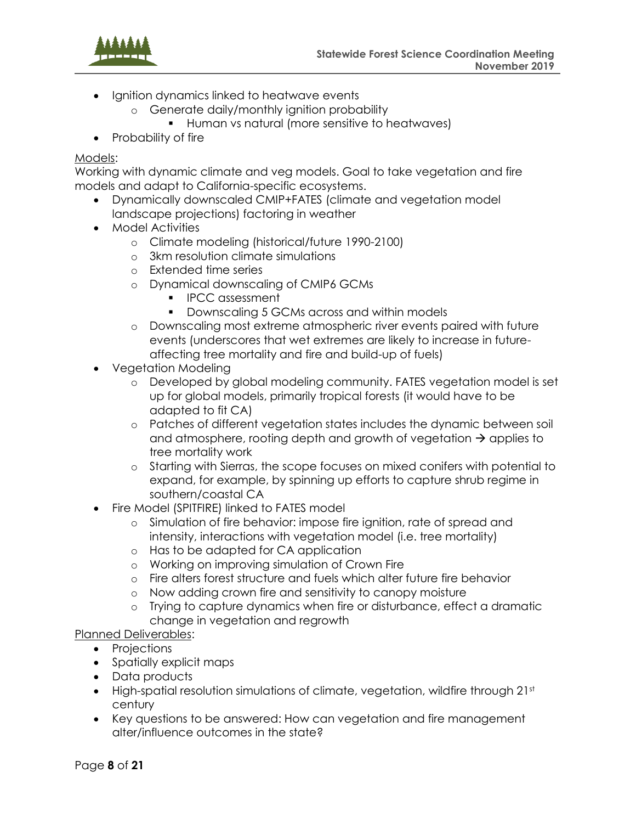

- Ignition dynamics linked to heatwave events
	- o Generate daily/monthly ignition probability
		- Human vs natural (more sensitive to heatwaves)
- Probability of fire

#### Models:

Working with dynamic climate and veg models. Goal to take vegetation and fire models and adapt to California-specific ecosystems.

- Dynamically downscaled CMIP+FATES (climate and vegetation model landscape projections) factoring in weather
- Model Activities
	- o Climate modeling (historical/future 1990-2100)
	- o 3km resolution climate simulations
	- o Extended time series
	- o Dynamical downscaling of CMIP6 GCMs
		- IPCC assessment
		- Downscaling 5 GCMs across and within models
	- o Downscaling most extreme atmospheric river events paired with future events (underscores that wet extremes are likely to increase in futureaffecting tree mortality and fire and build-up of fuels)
- Vegetation Modeling
	- o Developed by global modeling community. FATES vegetation model is set up for global models, primarily tropical forests (it would have to be adapted to fit CA)
	- o Patches of different vegetation states includes the dynamic between soil and atmosphere, rooting depth and growth of vegetation  $\rightarrow$  applies to tree mortality work
	- o Starting with Sierras, the scope focuses on mixed conifers with potential to expand, for example, by spinning up efforts to capture shrub regime in southern/coastal CA
- Fire Model (SPITFIRE) linked to FATES model
	- o Simulation of fire behavior: impose fire ignition, rate of spread and intensity, interactions with vegetation model (i.e. tree mortality)
	- o Has to be adapted for CA application
	- o Working on improving simulation of Crown Fire
	- o Fire alters forest structure and fuels which alter future fire behavior
	- o Now adding crown fire and sensitivity to canopy moisture
	- o Trying to capture dynamics when fire or disturbance, effect a dramatic change in vegetation and regrowth

#### Planned Deliverables:

- Projections
- Spatially explicit maps
- Data products
- High-spatial resolution simulations of climate, vegetation, wildfire through 21st century
- Key questions to be answered: How can vegetation and fire management alter/influence outcomes in the state?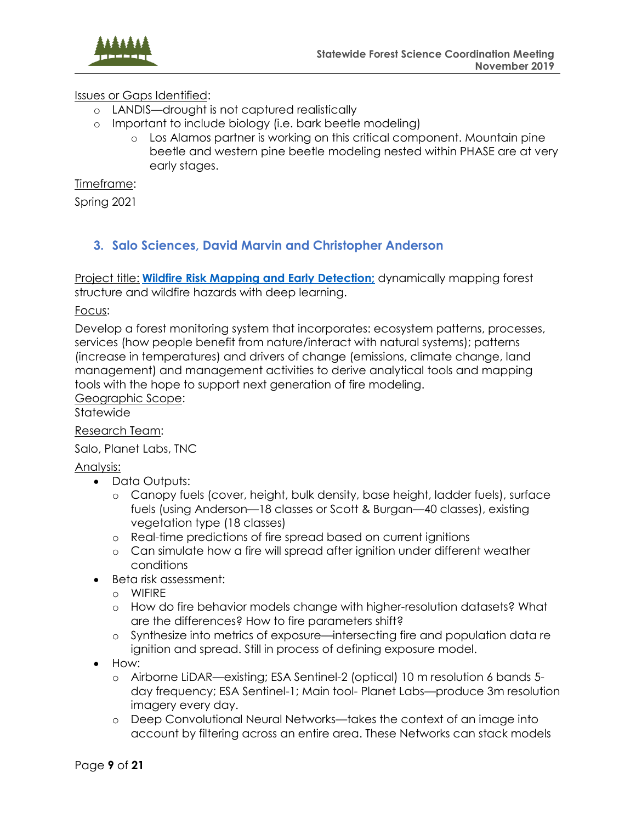

#### Issues or Gaps Identified:

- o LANDIS—drought is not captured realistically
- o Important to include biology (i.e. bark beetle modeling)
	- o Los Alamos partner is working on this critical component. Mountain pine beetle and western pine beetle modeling nested within PHASE are at very early stages.

Timeframe:

Spring 2021

#### <span id="page-8-0"></span>**3. Salo Sciences, David Marvin and Christopher Anderson**

Project title: **[Wildfire Risk Mapping and Early Detection;](https://www.moore.org/grants?filterKeywords=Wildfire%20Risk%20Mapping%20and%20Early%20Detection&searchFunction=StartsWith&searchFields=Title#filterSortBarPageJumper)** dynamically mapping forest structure and wildfire hazards with deep learning.

Focus:

Develop a forest monitoring system that incorporates: ecosystem patterns, processes, services (how people benefit from nature/interact with natural systems); patterns (increase in temperatures) and drivers of change (emissions, climate change, land management) and management activities to derive analytical tools and mapping tools with the hope to support next generation of fire modeling.

Geographic Scope:

**Statewide** 

#### Research Team:

Salo, Planet Labs, TNC

#### Analysis:

- Data Outputs:
	- o Canopy fuels (cover, height, bulk density, base height, ladder fuels), surface fuels (using Anderson—18 classes or Scott & Burgan—40 classes), existing vegetation type (18 classes)
	- o Real-time predictions of fire spread based on current ignitions
	- o Can simulate how a fire will spread after ignition under different weather conditions
- Beta risk assessment:
	- o WIFIRE
	- o How do fire behavior models change with higher-resolution datasets? What are the differences? How to fire parameters shift?
	- o Synthesize into metrics of exposure—intersecting fire and population data re ignition and spread. Still in process of defining exposure model.
- How:
	- o Airborne LiDAR—existing; ESA Sentinel-2 (optical) 10 m resolution 6 bands 5 day frequency; ESA Sentinel-1; Main tool- Planet Labs—produce 3m resolution imagery every day.
	- o Deep Convolutional Neural Networks—takes the context of an image into account by filtering across an entire area. These Networks can stack models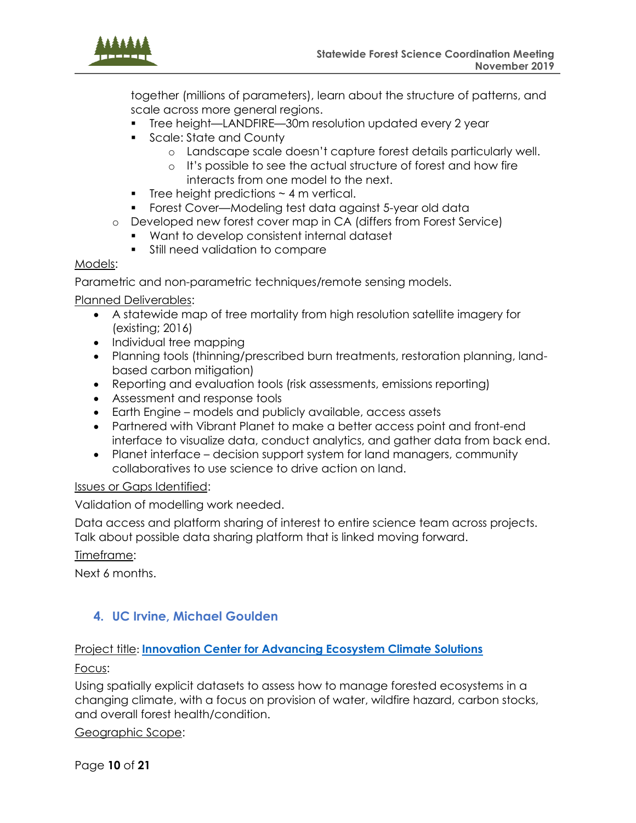

together (millions of parameters), learn about the structure of patterns, and scale across more general regions.

- Tree height—LANDFIRE—30m resolution updated every 2 year
- Scale: State and County
	- o Landscape scale doesn't capture forest details particularly well.
	- o It's possible to see the actual structure of forest and how fire interacts from one model to the next.
- **•** Tree height predictions  $\sim$  4 m vertical.
- Forest Cover—Modeling test data against 5-year old data
- o Developed new forest cover map in CA (differs from Forest Service)
	- Want to develop consistent internal dataset
		- Still need validation to compare

#### Models:

Parametric and non-parametric techniques/remote sensing models.

#### Planned Deliverables:

- A statewide map of tree mortality from high resolution satellite imagery for (existing; 2016)
- Individual tree mapping
- Planning tools (thinning/prescribed burn treatments, restoration planning, landbased carbon mitigation)
- Reporting and evaluation tools (risk assessments, emissions reporting)
- Assessment and response tools
- Earth Engine models and publicly available, access assets
- Partnered with Vibrant Planet to make a better access point and front-end interface to visualize data, conduct analytics, and gather data from back end.
- Planet interface decision support system for land managers, community collaboratives to use science to drive action on land.

#### Issues or Gaps Identified:

Validation of modelling work needed.

Data access and platform sharing of interest to entire science team across projects. Talk about possible data sharing platform that is linked moving forward.

Timeframe:

Next 6 months.

## <span id="page-9-0"></span>**4. UC Irvine, Michael Goulden**

#### Project title: **[Innovation Center for Advancing Ecosystem Climate Solutions](https://ps.uci.edu/news/49960)**

Focus:

Using spatially explicit datasets to assess how to manage forested ecosystems in a changing climate, with a focus on provision of water, wildfire hazard, carbon stocks, and overall forest health/condition.

#### Geographic Scope:

Page **10** of **21**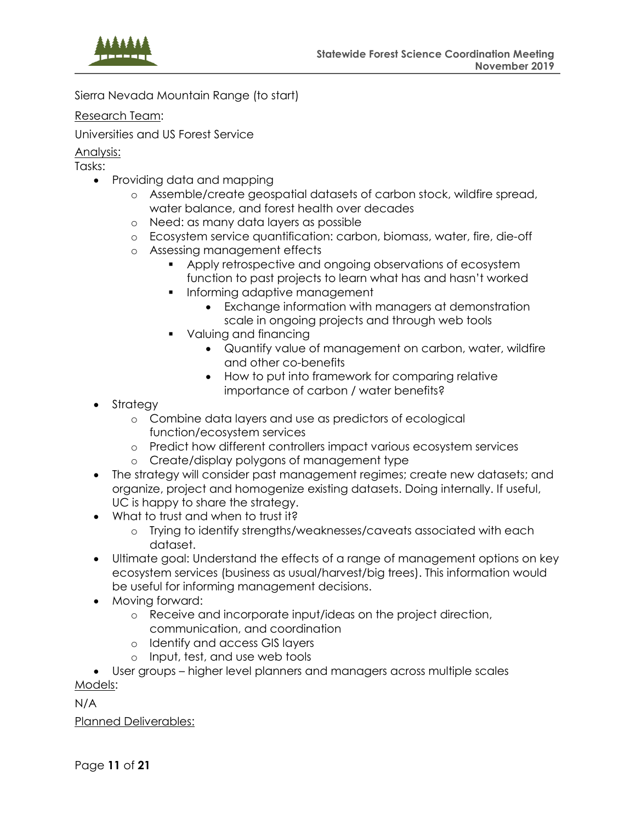

Sierra Nevada Mountain Range (to start)

Research Team:

Universities and US Forest Service

Analysis:

Tasks:

- Providing data and mapping
	- o Assemble/create geospatial datasets of carbon stock, wildfire spread, water balance, and forest health over decades
	- o Need: as many data layers as possible
	- o Ecosystem service quantification: carbon, biomass, water, fire, die-off
	- o Assessing management effects
		- Apply retrospective and ongoing observations of ecosystem function to past projects to learn what has and hasn't worked
		- **•** Informing adaptive management
			- Exchange information with managers at demonstration scale in ongoing projects and through web tools
		- Valuing and financing
			- Quantify value of management on carbon, water, wildfire and other co-benefits
			- How to put into framework for comparing relative importance of carbon / water benefits?
- Strategy
	- o Combine data layers and use as predictors of ecological function/ecosystem services
	- o Predict how different controllers impact various ecosystem services
	- o Create/display polygons of management type
- The strategy will consider past management regimes; create new datasets; and organize, project and homogenize existing datasets. Doing internally. If useful, UC is happy to share the strategy.
- What to trust and when to trust it?
	- o Trying to identify strengths/weaknesses/caveats associated with each dataset.
- Ultimate goal: Understand the effects of a range of management options on key ecosystem services (business as usual/harvest/big trees). This information would be useful for informing management decisions.
- Moving forward:
	- o Receive and incorporate input/ideas on the project direction, communication, and coordination
	- o Identify and access GIS layers
	- o Input, test, and use web tools

• User groups – higher level planners and managers across multiple scales Models:

N/A

Planned Deliverables:

Page **11** of **21**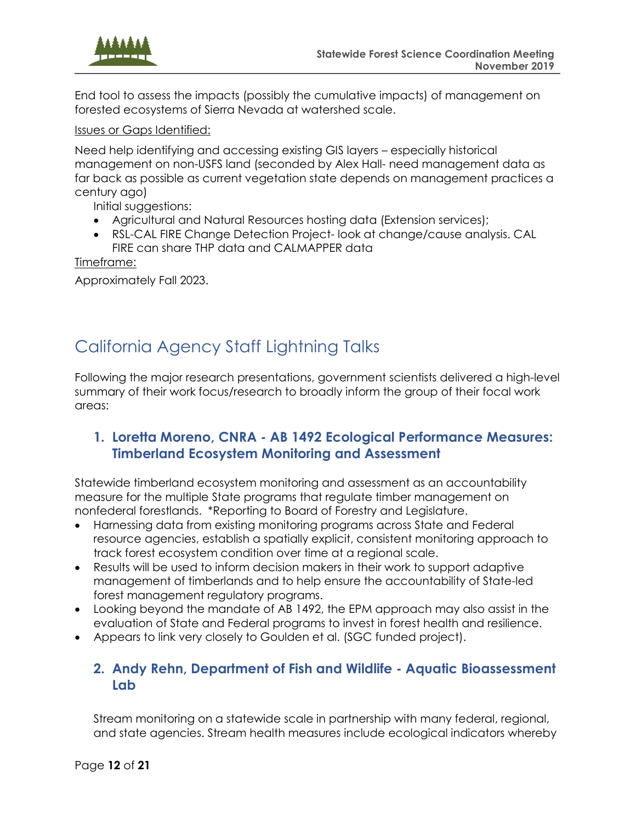

End tool to assess the impacts (possibly the cumulative impacts) of management on forested ecosystems of Sierra Nevada at watershed scale.

Issues or Gaps Identified:

Need help identifying and accessing existing GIS layers – especially historical management on non-USFS land (seconded by Alex Hall- need management data as far back as possible as current vegetation state depends on management practices a century ago)

Initial suggestions:

- Agricultural and Natural Resources hosting data (Extension services);
- RSL-CAL FIRE Change Detection Project- look at change/cause analysis. CAL FIRE can share THP data and CALMAPPER data

Timeframe:

Approximately Fall 2023.

# <span id="page-11-0"></span>California Agency Staff Lightning Talks

Following the major research presentations, government scientists delivered a high-level summary of their work focus/research to broadly inform the group of their focal work areas:

### <span id="page-11-1"></span>**1. Loretta Moreno, CNRA - AB 1492 Ecological Performance Measures: Timberland Ecosystem Monitoring and Assessment**

Statewide timberland ecosystem monitoring and assessment as an accountability measure for the multiple State programs that regulate timber management on nonfederal forestlands. \*Reporting to Board of Forestry and Legislature.

- Harnessing data from existing monitoring programs across State and Federal resource agencies, establish a spatially explicit, consistent monitoring approach to track forest ecosystem condition over time at a regional scale.
- Results will be used to inform decision makers in their work to support adaptive management of timberlands and to help ensure the accountability of State-led forest management regulatory programs.
- Looking beyond the mandate of AB 1492, the EPM approach may also assist in the evaluation of State and Federal programs to invest in forest health and resilience.
- Appears to link very closely to Goulden et al. (SGC funded project).

## <span id="page-11-2"></span>**2. Andy Rehn, Department of Fish and Wildlife - Aquatic Bioassessment Lab**

Stream monitoring on a statewide scale in partnership with many federal, regional, and state agencies. Stream health measures include ecological indicators whereby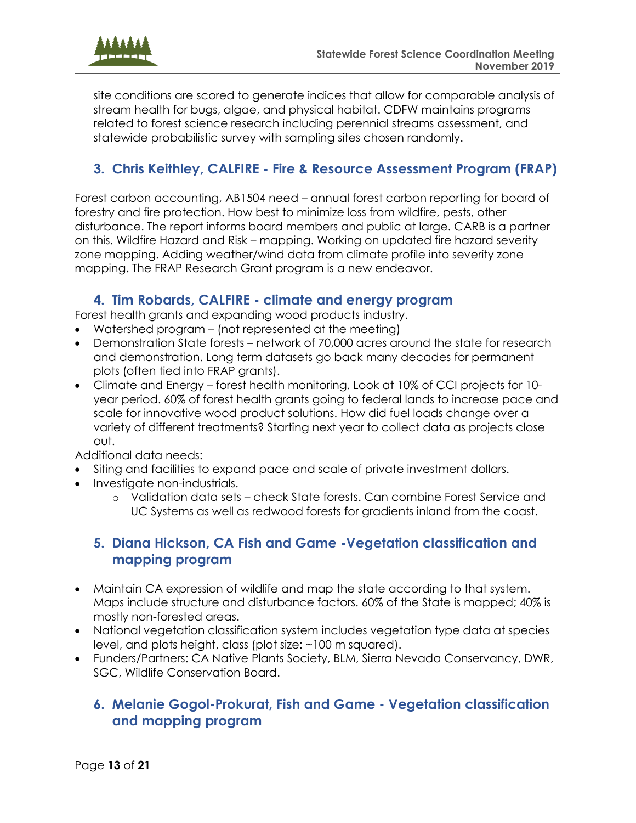

site conditions are scored to generate indices that allow for comparable analysis of stream health for bugs, algae, and physical habitat. CDFW maintains programs related to forest science research including perennial streams assessment, and statewide probabilistic survey with sampling sites chosen randomly.

## <span id="page-12-0"></span>**3. Chris Keithley, CALFIRE - Fire & Resource Assessment Program (FRAP)**

Forest carbon accounting, AB1504 need – annual forest carbon reporting for board of forestry and fire protection. How best to minimize loss from wildfire, pests, other disturbance. The report informs board members and public at large. CARB is a partner on this. Wildfire Hazard and Risk – mapping. Working on updated fire hazard severity zone mapping. Adding weather/wind data from climate profile into severity zone mapping. The FRAP Research Grant program is a new endeavor.

### **4. Tim Robards, CALFIRE - climate and energy program**

<span id="page-12-1"></span>Forest health grants and expanding wood products industry.

- Watershed program (not represented at the meeting)
- Demonstration State forests network of 70,000 acres around the state for research and demonstration. Long term datasets go back many decades for permanent plots (often tied into FRAP grants).
- Climate and Energy forest health monitoring. Look at 10% of CCI projects for 10 year period. 60% of forest health grants going to federal lands to increase pace and scale for innovative wood product solutions. How did fuel loads change over a variety of different treatments? Starting next year to collect data as projects close out.

Additional data needs:

- Siting and facilities to expand pace and scale of private investment dollars.
- Investigate non-industrials.
	- o Validation data sets check State forests. Can combine Forest Service and UC Systems as well as redwood forests for gradients inland from the coast.

## <span id="page-12-2"></span>**5. Diana Hickson, CA Fish and Game -Vegetation classification and mapping program**

- Maintain CA expression of wildlife and map the state according to that system. Maps include structure and disturbance factors. 60% of the State is mapped; 40% is mostly non-forested areas.
- National vegetation classification system includes vegetation type data at species level, and plots height, class (plot size: ~100 m squared).
- Funders/Partners: CA Native Plants Society, BLM, Sierra Nevada Conservancy, DWR, SGC, Wildlife Conservation Board.

## <span id="page-12-3"></span>**6. Melanie Gogol-Prokurat, Fish and Game - Vegetation classification and mapping program**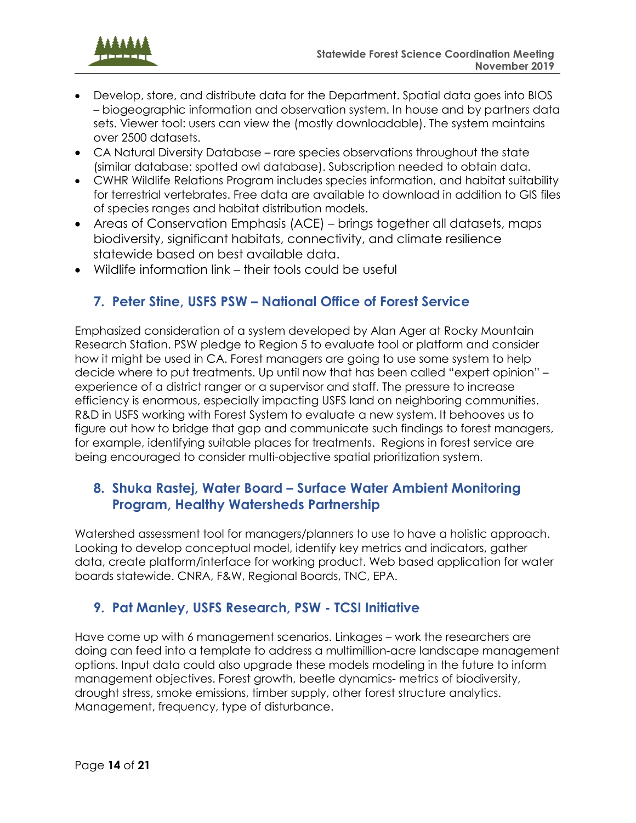<span id="page-13-3"></span>

- Develop, store, and distribute data for the Department. Spatial data goes into BIOS – biogeographic information and observation system. In house and by partners data sets. Viewer tool: users can view the (mostly downloadable). The system maintains over 2500 datasets.
- CA Natural Diversity Database rare species observations throughout the state (similar database: spotted owl database). Subscription needed to obtain data.
- CWHR Wildlife Relations Program includes species information, and habitat suitability for terrestrial vertebrates. Free data are available to download in addition to GIS files of species ranges and habitat distribution models.
- Areas of Conservation Emphasis (ACE) brings together all datasets, maps biodiversity, significant habitats, connectivity, and climate resilience statewide based on best available data.
- Wildlife information link their tools could be useful

## <span id="page-13-0"></span>**7. Peter Stine, USFS PSW – National Office of Forest Service**

Emphasized consideration of a system developed by Alan Ager at Rocky Mountain Research Station. PSW pledge to Region 5 to evaluate tool or platform and consider how it might be used in CA. Forest managers are going to use some system to help decide where to put treatments. Up until now that has been called "expert opinion" – experience of a district ranger or a supervisor and staff. The pressure to increase efficiency is enormous, especially impacting USFS land on neighboring communities. R&D in USFS working with Forest System to evaluate a new system. It behooves us to figure out how to bridge that gap and communicate such findings to forest managers, for example, identifying suitable places for treatments. Regions in forest service are being encouraged to consider multi-objective spatial prioritization system.

## <span id="page-13-1"></span>**8. Shuka Rastej, Water Board – Surface Water Ambient Monitoring Program, Healthy Watersheds Partnership**

Watershed assessment tool for managers/planners to use to have a holistic approach. Looking to develop conceptual model, identify key metrics and indicators, gather data, create platform/interface for working product. Web based application for water boards statewide. CNRA, F&W, Regional Boards, TNC, EPA.

## <span id="page-13-2"></span>**9. Pat Manley, USFS Research, PSW - TCSI Initiative**

Have come up with 6 management scenarios. Linkages – work the researchers are doing can feed into a template to address a multimillion-acre landscape management options. Input data could also upgrade these models modeling in the future to inform management objectives. Forest growth, beetle dynamics- metrics of biodiversity, drought stress, smoke emissions, timber supply, other forest structure analytics. Management, frequency, type of disturbance.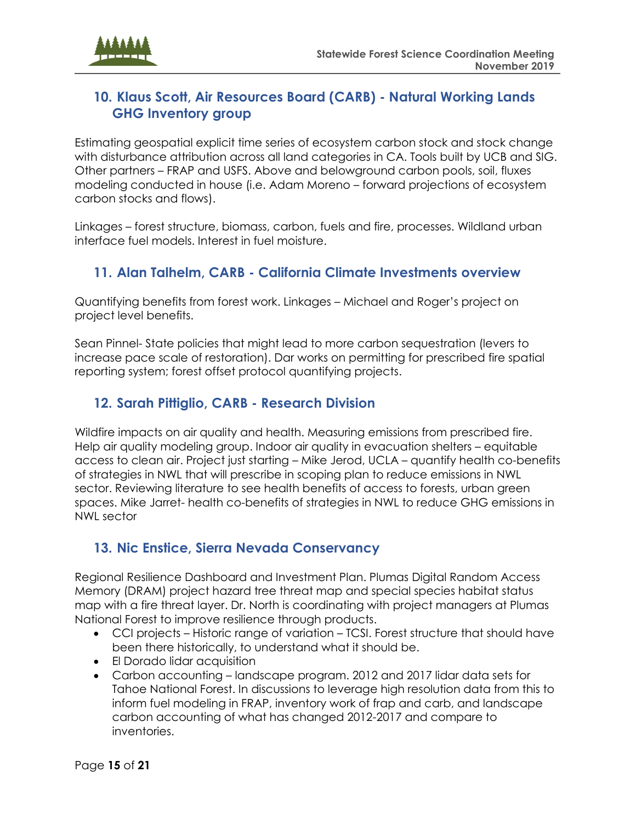

## **10. Klaus Scott, Air Resources Board (CARB) - Natural Working Lands GHG Inventory group**

Estimating geospatial explicit time series of ecosystem carbon stock and stock change with disturbance attribution across all land categories in CA. Tools built by UCB and SIG. Other partners – FRAP and USFS. Above and belowground carbon pools, soil, fluxes modeling conducted in house (i.e. Adam Moreno – forward projections of ecosystem carbon stocks and flows).

Linkages – forest structure, biomass, carbon, fuels and fire, processes. Wildland urban interface fuel models. Interest in fuel moisture.

## <span id="page-14-0"></span>**11. Alan Talhelm, CARB - California Climate Investments overview**

Quantifying benefits from forest work. Linkages – Michael and Roger's project on project level benefits.

Sean Pinnel- State policies that might lead to more carbon sequestration (levers to increase pace scale of restoration). Dar works on permitting for prescribed fire spatial reporting system; forest offset protocol quantifying projects.

## <span id="page-14-1"></span>**12. Sarah Pittiglio, CARB - Research Division**

Wildfire impacts on air quality and health. Measuring emissions from prescribed fire. Help air quality modeling group. Indoor air quality in evacuation shelters – equitable access to clean air. Project just starting – Mike Jerod, UCLA – quantify health co-benefits of strategies in NWL that will prescribe in scoping plan to reduce emissions in NWL sector. Reviewing literature to see health benefits of access to forests, urban green spaces. Mike Jarret- health co-benefits of strategies in NWL to reduce GHG emissions in NWL sector

## <span id="page-14-2"></span>**13. Nic Enstice, Sierra Nevada Conservancy**

Regional Resilience Dashboard and Investment Plan. Plumas Digital Random Access Memory (DRAM) project hazard tree threat map and special species habitat status map with a fire threat layer. Dr. North is coordinating with project managers at Plumas National Forest to improve resilience through products.

- CCI projects Historic range of variation TCSI. Forest structure that should have been there historically, to understand what it should be.
- El Dorado lidar acquisition
- Carbon accounting landscape program. 2012 and 2017 lidar data sets for Tahoe National Forest. In discussions to leverage high resolution data from this to inform fuel modeling in FRAP, inventory work of frap and carb, and landscape carbon accounting of what has changed 2012-2017 and compare to inventories.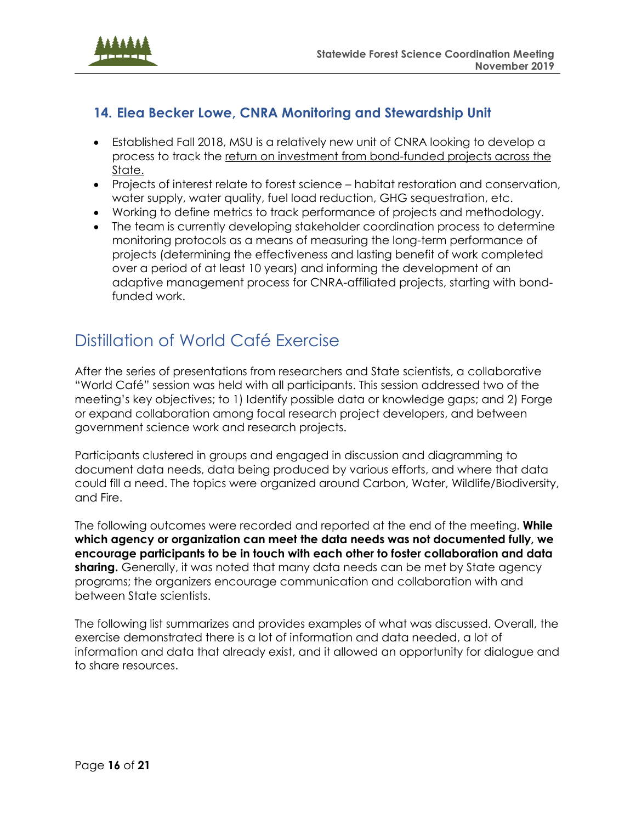

## <span id="page-15-0"></span>**14. Elea Becker Lowe, CNRA Monitoring and Stewardship Unit**

- Established Fall 2018, MSU is a relatively new unit of CNRA looking to develop a process to track the return on investment from bond-funded projects across the State.
- Projects of interest relate to forest science habitat restoration and conservation, water supply, water quality, fuel load reduction, GHG sequestration, etc.
- Working to define metrics to track performance of projects and methodology.
- The team is currently developing stakeholder coordination process to determine monitoring protocols as a means of measuring the long-term performance of projects (determining the effectiveness and lasting benefit of work completed over a period of at least 10 years) and informing the development of an adaptive management process for CNRA-affiliated projects, starting with bondfunded work.

## <span id="page-15-1"></span>Distillation of World Café Exercise

After the series of presentations from researchers and State scientists, a collaborative "World Café" session was held with all participants. This session addressed two of the meeting's key objectives; to 1) Identify possible data or knowledge gaps; and 2) Forge or expand collaboration among focal research project developers, and between government science work and research projects.

Participants clustered in groups and engaged in discussion and diagramming to document data needs, data being produced by various efforts, and where that data could fill a need. The topics were organized around Carbon, Water, Wildlife/Biodiversity, and Fire.

The following outcomes were recorded and reported at the end of the meeting. **While which agency or organization can meet the data needs was not documented fully, we encourage participants to be in touch with each other to foster collaboration and data sharing.** Generally, it was noted that many data needs can be met by State agency programs; the organizers encourage communication and collaboration with and between State scientists.

The following list summarizes and provides examples of what was discussed. Overall, the exercise demonstrated there is a lot of information and data needed, a lot of information and data that already exist, and it allowed an opportunity for dialogue and to share resources.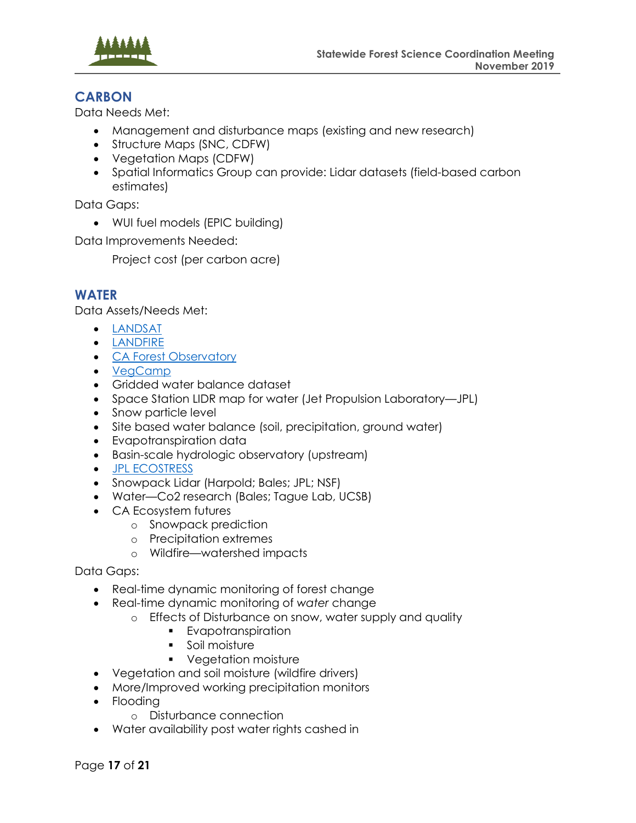

### **CARBON**

Data Needs Met:

- Management and disturbance maps (existing and new research)
- Structure Maps (SNC, CDFW)
- Vegetation Maps (CDFW)
- Spatial Informatics Group can provide: Lidar datasets (field-based carbon estimates)

Data Gaps:

• WUI fuel models (EPIC building)

Data Improvements Needed:

Project cost (per carbon acre)

### **WATER**

Data Assets/Needs Met:

- [LANDSAT](https://www.usgs.gov/land-resources/nli/landsat)
- [LANDFIRE](https://www.landfire.gov/)
- [CA Forest Observatory](https://salo.ai/observatory/)
- [VegCamp](https://wildlife.ca.gov/Data/VegCAMP)
- Gridded water balance dataset
- Space Station LIDR map for water (Jet Propulsion Laboratory—JPL)
- Snow particle level
- Site based water balance (soil, precipitation, ground water)
- Evapotranspiration data
- Basin-scale hydrologic observatory (upstream)
- [JPL ECOSTRESS](https://ecostress.jpl.nasa.gov/)
- Snowpack Lidar (Harpold; Bales; JPL; NSF)
- Water—Co2 research (Bales; Tague Lab, UCSB)
- CA Ecosystem futures
	- o Snowpack prediction
	- o Precipitation extremes
	- o Wildfire—watershed impacts

Data Gaps:

- Real-time dynamic monitoring of forest change
- Real-time dynamic monitoring of *water* change
	- o Effects of Disturbance on snow, water supply and quality
		- Evapotranspiration
		- Soil moisture
		- Vegetation moisture
- Vegetation and soil moisture (wildfire drivers)
- More/Improved working precipitation monitors
- Flooding
	- o Disturbance connection
- Water availability post water rights cashed in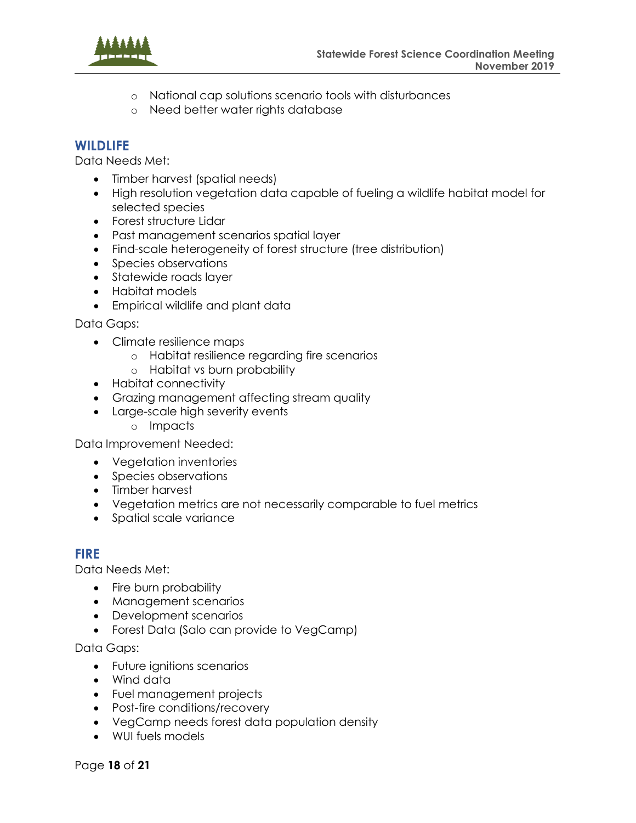

- o National cap solutions scenario tools with disturbances
- o Need better water rights database

#### **WILDLIFE**

Data Needs Met:

- Timber harvest (spatial needs)
- High resolution vegetation data capable of fueling a wildlife habitat model for selected species
- Forest structure Lidar
- Past management scenarios spatial layer
- Find-scale heterogeneity of forest structure (tree distribution)
- Species observations
- Statewide roads layer
- Habitat models
- Empirical wildlife and plant data

Data Gaps:

- Climate resilience maps
	- o Habitat resilience regarding fire scenarios
	- o Habitat vs burn probability
- Habitat connectivity
- Grazing management affecting stream quality
- Large-scale high severity events
	- o Impacts

Data Improvement Needed:

- Vegetation inventories
- Species observations
- Timber harvest
- Vegetation metrics are not necessarily comparable to fuel metrics
- Spatial scale variance

#### **FIRE**

Data Needs Met:

- Fire burn probability
- Management scenarios
- Development scenarios
- Forest Data (Salo can provide to VegCamp)

Data Gaps:

- Future ignitions scenarios
- Wind data
- Fuel management projects
- Post-fire conditions/recovery
- VegCamp needs forest data population density
- WUI fuels models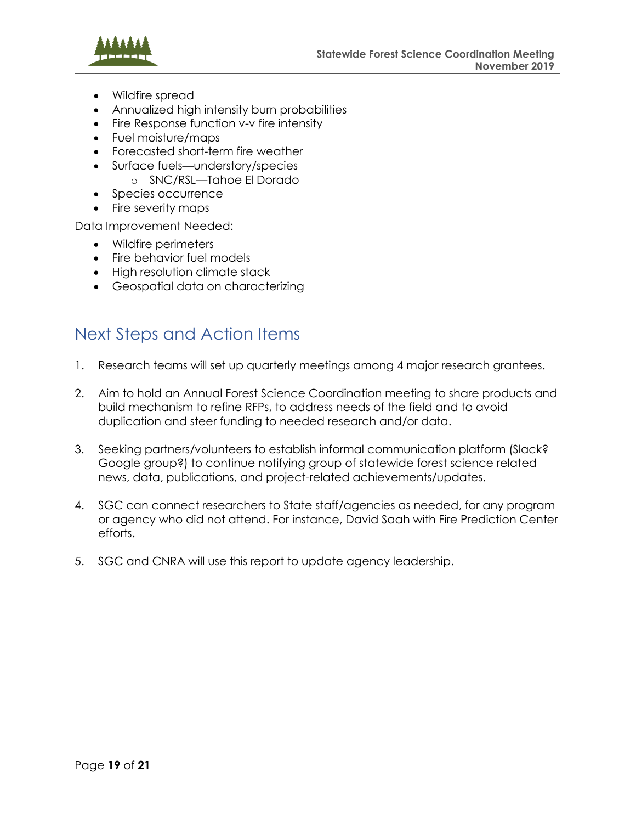

- Wildfire spread
- Annualized high intensity burn probabilities
- Fire Response function v-v fire intensity
- Fuel moisture/maps
- Forecasted short-term fire weather
- Surface fuels—understory/species
	- o SNC/RSL—Tahoe El Dorado
- Species occurrence
- Fire severity maps

Data Improvement Needed:

- Wildfire perimeters
- Fire behavior fuel models
- High resolution climate stack
- Geospatial data on characterizing

## <span id="page-18-0"></span>Next Steps and Action Items

- 1. Research teams will set up quarterly meetings among 4 major research grantees.
- 2. Aim to hold an Annual Forest Science Coordination meeting to share products and build mechanism to refine RFPs, to address needs of the field and to avoid duplication and steer funding to needed research and/or data.
- 3. Seeking partners/volunteers to establish informal communication platform (Slack? Google group?) to continue notifying group of statewide forest science related news, data, publications, and project-related achievements/updates.
- 4. SGC can connect researchers to State staff/agencies as needed, for any program or agency who did not attend. For instance, David Saah with Fire Prediction Center efforts.
- 5. SGC and CNRA will use this report to update agency leadership.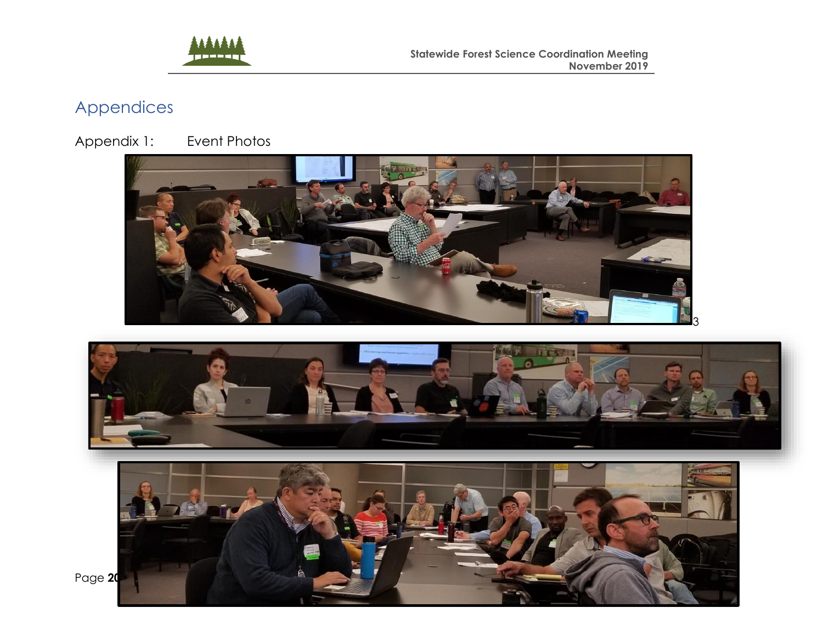

## Appendices

Appendix 1: Event Photos



<span id="page-19-0"></span>